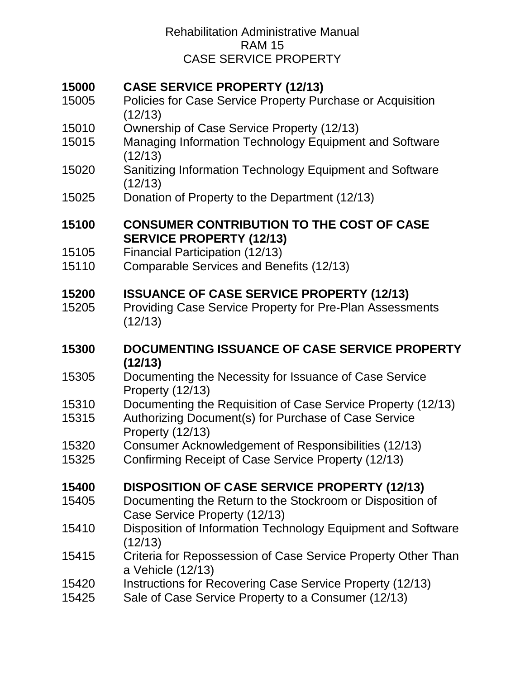# **[CASE SERVICE PROPERTY \(12/13\)](#page-3-0)**

- [Policies for Case Service Property Purchase or Acquisition](#page-4-0)  [\(12/13\)](#page-4-0)
- [Ownership of Case Service Property \(12/13\)](#page-5-0)
- [Managing Information Technology Equipment and Software](#page-6-0)  [\(12/13\)](#page-6-0)
- [Sanitizing Information Technology Equipment and Software](#page-7-0)  [\(12/13\)](#page-7-0)
- [Donation of Property to the Department \(12/13\)](#page-7-1)

### **[CONSUMER CONTRIBUTION TO THE COST OF CASE](#page-9-0)  [SERVICE PROPERTY \(12/13\)](#page-9-0)**

- [Financial Participation \(12/13\)](#page-9-1)
- [Comparable Services and Benefits \(12/13\)](#page-10-0)

# **[ISSUANCE OF CASE SERVICE PROPERTY \(12/13\)](#page-12-0)**

- [Providing Case Service Property for Pre-Plan Assessments](#page-12-1)  [\(12/13\)](#page-12-1)
- **[DOCUMENTING ISSUANCE OF CASE SERVICE PROPERTY](#page-13-0)  [\(12/13\)](#page-13-0)**
- [Documenting the Necessity for Issuance of Case Service](#page-13-1)  [Property \(12/13\)](#page-13-1)
- [Documenting the Requisition of Case Service Property \(12/13\)](#page-13-2)
- [Authorizing Document\(s\) for Purchase of Case Service](#page-14-0)  [Property \(12/13\)](#page-14-0)
- [Consumer Acknowledgement of Responsibilities \(12/13\)](#page-14-1)
- [Confirming Receipt of Case Service Property \(12/13\)](#page-14-2)

# **[DISPOSITION OF CASE SERVICE PROPERTY \(12/13\)](#page-16-0)**

- [Documenting the Return to the Stockroom or Disposition of](#page-17-0)  [Case Service Property \(12/13\)](#page-17-0)
- [Disposition of Information Technology Equipment and Software](#page-17-1)  [\(12/13\)](#page-17-1)
- [Criteria for Repossession of Case Service Property Other Than](#page-18-0)  [a Vehicle \(12/13\)](#page-18-0)
- [Instructions for Recovering Case Service Property \(12/13\)](#page-18-1)
- [Sale of Case Service Property to a Consumer \(12/13\)](#page-20-0)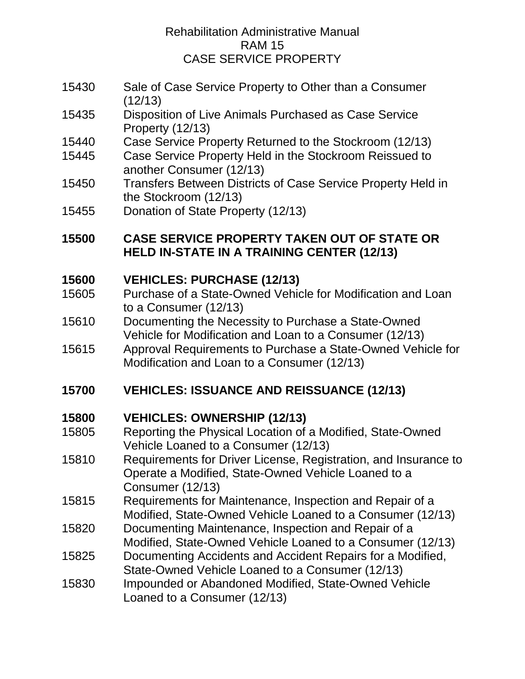- 15430 [Sale of Case Service Property to Other than a Consumer](#page-20-1)  [\(12/13\)](#page-20-1)
- 15435 [Disposition of Live Animals Purchased as Case Service](#page-21-0)  [Property \(12/13\)](#page-21-0)
- 15440 [Case Service Property Returned to the Stockroom \(12/13\)](#page-22-0)
- 15445 [Case Service Property Held in the Stockroom Reissued to](#page-23-0)  [another Consumer \(12/13\)](#page-23-0)
- 15450 Transfers Between [Districts of Case Service Property Held in](#page-23-1)  [the Stockroom \(12/13\)](#page-23-1)
- 15455 [Donation of State Property \(12/13\)](#page-23-2)

# **15500 [CASE SERVICE PROPERTY TAKEN OUT OF STATE OR](#page-25-0)  [HELD IN-STATE IN A TRAINING CENTER \(12/13\)](#page-25-0)**

# **15600 [VEHICLES: PURCHASE \(12/13\)](#page-26-0)**

- 15605 [Purchase of a State-Owned Vehicle for Modification and Loan](#page-26-1)  [to a Consumer \(12/13\)](#page-26-1)
- 15610 [Documenting the Necessity to Purchase a State-Owned](#page-27-0)  [Vehicle for Modification and Loan to a Consumer \(12/13\)](#page-27-0)
- 15615 [Approval Requirements to Purchase a State-Owned Vehicle for](#page-29-0)  [Modification and Loan to a Consumer \(12/13\)](#page-29-0)

# **15700 [VEHICLES: ISSUANCE AND REISSUANCE \(12/13\)](#page-30-0)**

# **15800 [VEHICLES: OWNERSHIP \(12/13\)](#page-31-0)**

- 15805 [Reporting the Physical Location of a Modified, State-Owned](#page-31-1)  [Vehicle Loaned to a Consumer \(12/13\)](#page-31-1)
- 15810 [Requirements for Driver License, Registration, and Insurance to](#page-31-2)  [Operate a Modified, State-Owned Vehicle Loaned to a](#page-31-2)  [Consumer \(12/13\)](#page-31-2)
- 15815 [Requirements for Maintenance, Inspection and Repair of a](#page-33-0)  [Modified, State-Owned Vehicle Loaned to a Consumer \(12/13\)](#page-33-0)
- 15820 [Documenting Maintenance, Inspection and Repair of a](#page-34-0)  [Modified, State-Owned Vehicle Loaned to a Consumer \(12/13\)](#page-34-0)
- 15825 [Documenting Accidents and Accident Repairs for a Modified,](#page-35-0)  [State-Owned Vehicle Loaned to a Consumer \(12/13\)](#page-35-0)
- 15830 [Impounded or Abandoned Modified, State-Owned Vehicle](#page-36-0)  [Loaned to a Consumer \(12/13\)](#page-36-0)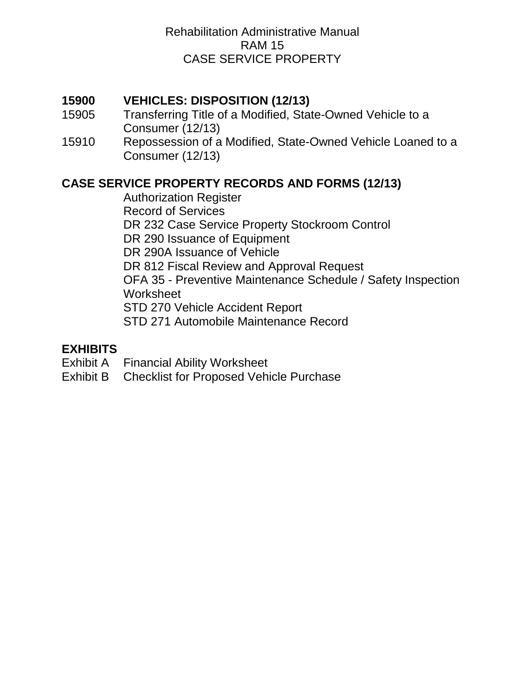# **15900 [VEHICLES: DISPOSITION \(12/13\)](#page-37-0)**

- 15905 [Transferring Title of a Modified, State-Owned Vehicle to a](#page-37-1)  [Consumer \(12/13\)](#page-37-1)
- 15910 [Repossession of a Modified, State-Owned Vehicle Loaned to a](#page-38-0)  [Consumer \(12/13\)](#page-38-0)

# **[CASE SERVICE PROPERTY RECORDS AND FORMS \(12/13\)](#page-39-0)**

[Authorization Register](#page-39-1) [Record of Services](#page-39-2) [DR 232 Case Service Property Stockroom Control](#page-39-3) [DR 290 Issuance of Equipment](#page-39-4) [DR 290A Issuance of Vehicle](#page-40-0) [DR 812 Fiscal Review and Approval Request](#page-40-1) OFA 35 - [Preventive Maintenance Schedule / Safety Inspection](#page-40-2)  [Worksheet](#page-40-2) [STD 270 Vehicle Accident Report](#page-40-3) [STD 271 Automobile Maintenance Record](#page-41-0)

### **[EXHIBITS](#page-42-0)**

- Exhibit A [Financial Ability Worksheet](#page-42-1)
- Exhibit B [Checklist for Proposed Vehicle Purchase](#page-42-2)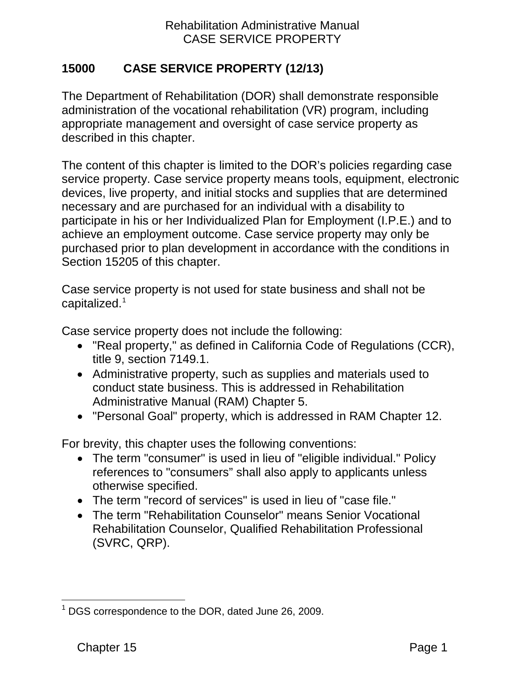# <span id="page-3-0"></span>**15000 CASE SERVICE PROPERTY (12/13)**

The Department of Rehabilitation (DOR) shall demonstrate responsible administration of the vocational rehabilitation (VR) program, including appropriate management and oversight of case service property as described in this chapter.

The content of this chapter is limited to the DOR's policies regarding case service property. Case service property means tools, equipment, electronic devices, live property, and initial stocks and supplies that are determined necessary and are purchased for an individual with a disability to participate in his or her Individualized Plan for Employment (I.P.E.) and to achieve an employment outcome. Case service property may only be purchased prior to plan development in accordance with the conditions in Section 15205 of this chapter.

Case service property is not used for state business and shall not be capitalized.[1](#page-3-1)

Case service property does not include the following:

- "Real property," as defined in California Code of Regulations (CCR), title 9, section 7149.1.
- Administrative property, such as supplies and materials used to conduct state business. This is addressed in Rehabilitation Administrative Manual (RAM) Chapter 5.
- "Personal Goal" property, which is addressed in RAM Chapter 12.

For brevity, this chapter uses the following conventions:

- The term "consumer" is used in lieu of "eligible individual." Policy references to "consumers" shall also apply to applicants unless otherwise specified.
- The term "record of services" is used in lieu of "case file."
- The term "Rehabilitation Counselor" means Senior Vocational Rehabilitation Counselor, Qualified Rehabilitation Professional (SVRC, QRP).

<span id="page-3-1"></span> $\overline{\phantom{a}}$  $1$  DGS correspondence to the DOR, dated June 26, 2009.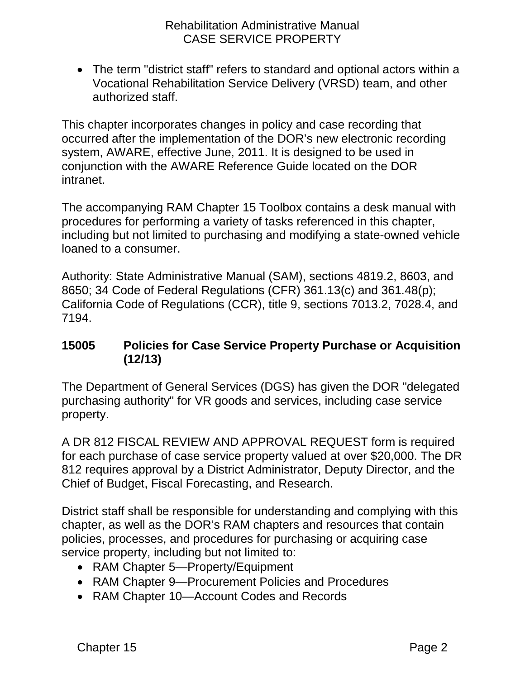• The term "district staff" refers to standard and optional actors within a Vocational Rehabilitation Service Delivery (VRSD) team, and other authorized staff.

This chapter incorporates changes in policy and case recording that occurred after the implementation of the DOR's new electronic recording system, AWARE, effective June, 2011. It is designed to be used in conjunction with the AWARE Reference Guide located on the DOR intranet.

The accompanying RAM Chapter 15 Toolbox contains a desk manual with procedures for performing a variety of tasks referenced in this chapter, including but not limited to purchasing and modifying a state-owned vehicle loaned to a consumer.

Authority: State Administrative Manual (SAM), sections 4819.2, 8603, and 8650; 34 Code of Federal Regulations (CFR) 361.13(c) and 361.48(p); California Code of Regulations (CCR), title 9, sections 7013.2, 7028.4, and 7194.

### <span id="page-4-0"></span>**15005 Policies for Case Service Property Purchase or Acquisition (12/13)**

The Department of General Services (DGS) has given the DOR "delegated purchasing authority" for VR goods and services, including case service property.

A DR 812 FISCAL REVIEW AND APPROVAL REQUEST form is required for each purchase of case service property valued at over \$20,000. The DR 812 requires approval by a District Administrator, Deputy Director, and the Chief of Budget, Fiscal Forecasting, and Research.

District staff shall be responsible for understanding and complying with this chapter, as well as the DOR's RAM chapters and resources that contain policies, processes, and procedures for purchasing or acquiring case service property, including but not limited to:

- RAM Chapter 5—Property/Equipment
- RAM Chapter 9—Procurement Policies and Procedures
- RAM Chapter 10—Account Codes and Records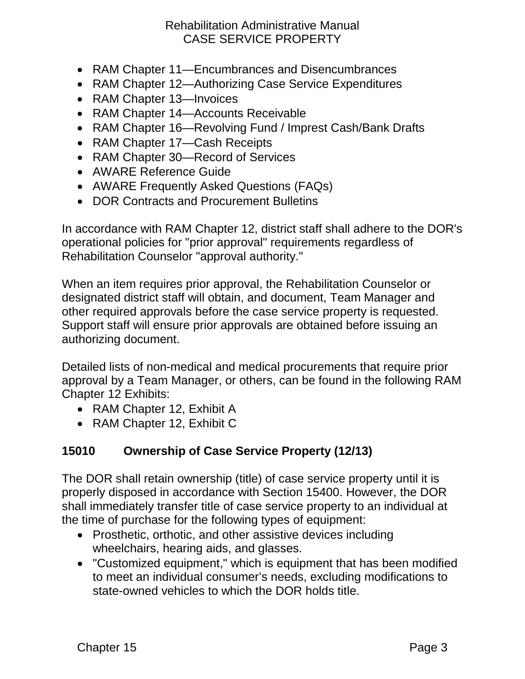- RAM Chapter 11—Encumbrances and Disencumbrances
- RAM Chapter 12—Authorizing Case Service Expenditures
- RAM Chapter 13-Invoices
- RAM Chapter 14—Accounts Receivable
- RAM Chapter 16—Revolving Fund / Imprest Cash/Bank Drafts
- RAM Chapter 17—Cash Receipts
- RAM Chapter 30—Record of Services
- AWARE Reference Guide
- AWARE Frequently Asked Questions (FAQs)
- DOR Contracts and Procurement Bulletins

In accordance with RAM Chapter 12, district staff shall adhere to the DOR's operational policies for "prior approval" requirements regardless of Rehabilitation Counselor "approval authority."

When an item requires prior approval, the Rehabilitation Counselor or designated district staff will obtain, and document, Team Manager and other required approvals before the case service property is requested. Support staff will ensure prior approvals are obtained before issuing an authorizing document.

Detailed lists of non-medical and medical procurements that require prior approval by a Team Manager, or others, can be found in the following RAM Chapter 12 Exhibits:

- RAM Chapter 12, Exhibit A
- RAM Chapter 12, Exhibit C

# <span id="page-5-0"></span>**15010 Ownership of Case Service Property (12/13)**

The DOR shall retain ownership (title) of case service property until it is properly disposed in accordance with Section 15400. However, the DOR shall immediately transfer title of case service property to an individual at the time of purchase for the following types of equipment:

- Prosthetic, orthotic, and other assistive devices including wheelchairs, hearing aids, and glasses.
- "Customized equipment," which is equipment that has been modified to meet an individual consumer's needs, excluding modifications to state-owned vehicles to which the DOR holds title.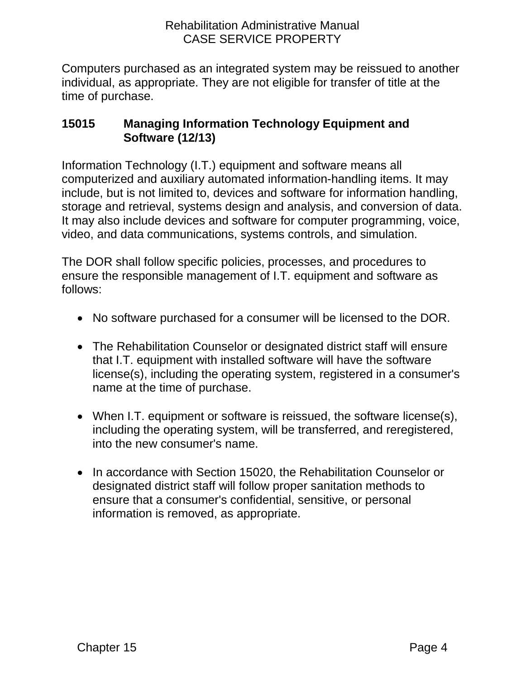Computers purchased as an integrated system may be reissued to another individual, as appropriate. They are not eligible for transfer of title at the time of purchase.

# <span id="page-6-0"></span>**15015 Managing Information Technology Equipment and Software (12/13)**

Information Technology (I.T.) equipment and software means all computerized and auxiliary automated information-handling items. It may include, but is not limited to, devices and software for information handling, storage and retrieval, systems design and analysis, and conversion of data. It may also include devices and software for computer programming, voice, video, and data communications, systems controls, and simulation.

The DOR shall follow specific policies, processes, and procedures to ensure the responsible management of I.T. equipment and software as follows:

- No software purchased for a consumer will be licensed to the DOR.
- The Rehabilitation Counselor or designated district staff will ensure that I.T. equipment with installed software will have the software license(s), including the operating system, registered in a consumer's name at the time of purchase.
- When I.T. equipment or software is reissued, the software license(s), including the operating system, will be transferred, and reregistered, into the new consumer's name.
- In accordance with Section 15020, the Rehabilitation Counselor or designated district staff will follow proper sanitation methods to ensure that a consumer's confidential, sensitive, or personal information is removed, as appropriate.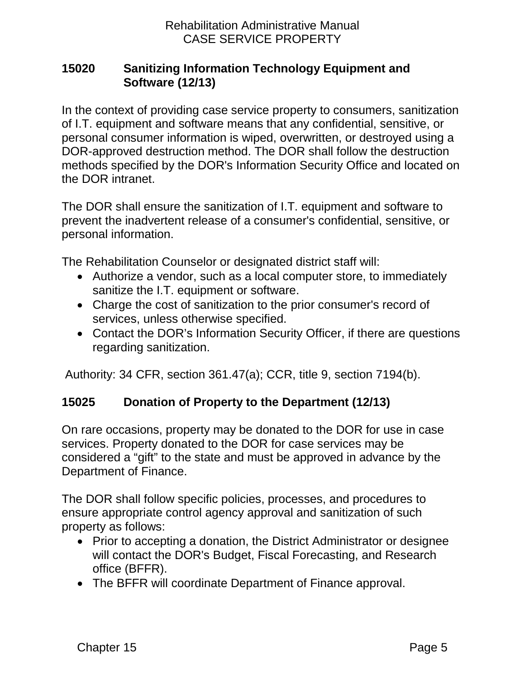## <span id="page-7-0"></span>**15020 Sanitizing Information Technology Equipment and Software (12/13)**

In the context of providing case service property to consumers, sanitization of I.T. equipment and software means that any confidential, sensitive, or personal consumer information is wiped, overwritten, or destroyed using a DOR-approved destruction method. The DOR shall follow the destruction methods specified by the DOR's Information Security Office and located on the DOR intranet.

The DOR shall ensure the sanitization of I.T. equipment and software to prevent the inadvertent release of a consumer's confidential, sensitive, or personal information.

The Rehabilitation Counselor or designated district staff will:

- Authorize a vendor, such as a local computer store, to immediately sanitize the I.T. equipment or software.
- Charge the cost of sanitization to the prior consumer's record of services, unless otherwise specified.
- Contact the DOR's Information Security Officer, if there are questions regarding sanitization.

Authority: 34 CFR, section 361.47(a); CCR, title 9, section 7194(b).

# <span id="page-7-1"></span>**15025 Donation of Property to the Department (12/13)**

On rare occasions, property may be donated to the DOR for use in case services. Property donated to the DOR for case services may be considered a "gift" to the state and must be approved in advance by the Department of Finance.

The DOR shall follow specific policies, processes, and procedures to ensure appropriate control agency approval and sanitization of such property as follows:

- Prior to accepting a donation, the District Administrator or designee will contact the DOR's Budget, Fiscal Forecasting, and Research office (BFFR).
- The BFFR will coordinate Department of Finance approval.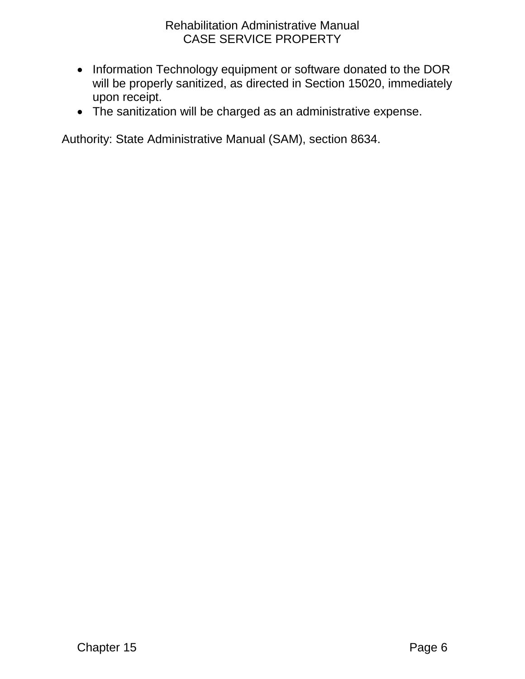- Information Technology equipment or software donated to the DOR will be properly sanitized, as directed in Section 15020, immediately upon receipt.
- The sanitization will be charged as an administrative expense.

Authority: State Administrative Manual (SAM), section 8634.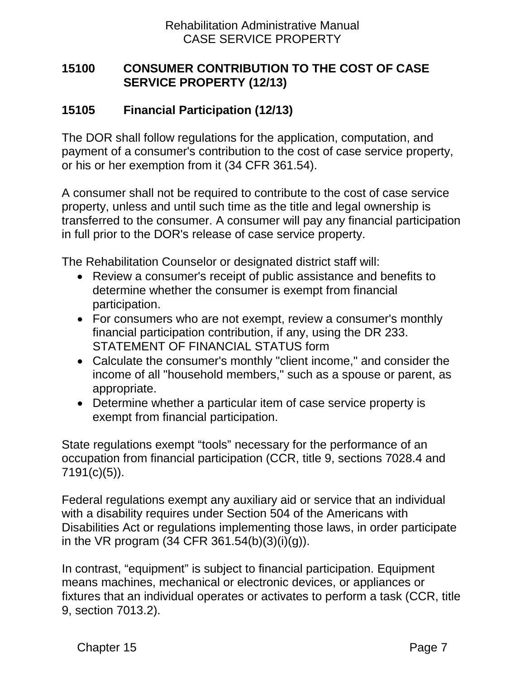# <span id="page-9-0"></span>**15100 CONSUMER CONTRIBUTION TO THE COST OF CASE SERVICE PROPERTY (12/13)**

# <span id="page-9-1"></span>**15105 Financial Participation (12/13)**

The DOR shall follow regulations for the application, computation, and payment of a consumer's contribution to the cost of case service property, or his or her exemption from it (34 CFR 361.54).

A consumer shall not be required to contribute to the cost of case service property, unless and until such time as the title and legal ownership is transferred to the consumer. A consumer will pay any financial participation in full prior to the DOR's release of case service property.

The Rehabilitation Counselor or designated district staff will:

- Review a consumer's receipt of public assistance and benefits to determine whether the consumer is exempt from financial participation.
- For consumers who are not exempt, review a consumer's monthly financial participation contribution, if any, using the DR 233. STATEMENT OF FINANCIAL STATUS form
- Calculate the consumer's monthly "client income," and consider the income of all "household members," such as a spouse or parent, as appropriate.
- Determine whether a particular item of case service property is exempt from financial participation.

State regulations exempt "tools" necessary for the performance of an occupation from financial participation (CCR, title 9, sections 7028.4 and 7191(c)(5)).

Federal regulations exempt any auxiliary aid or service that an individual with a disability requires under Section 504 of the Americans with Disabilities Act or regulations implementing those laws, in order participate in the VR program (34 CFR 361.54(b)(3)(i)(g)).

In contrast, "equipment" is subject to financial participation. Equipment means machines, mechanical or electronic devices, or appliances or fixtures that an individual operates or activates to perform a task (CCR, title 9, section 7013.2).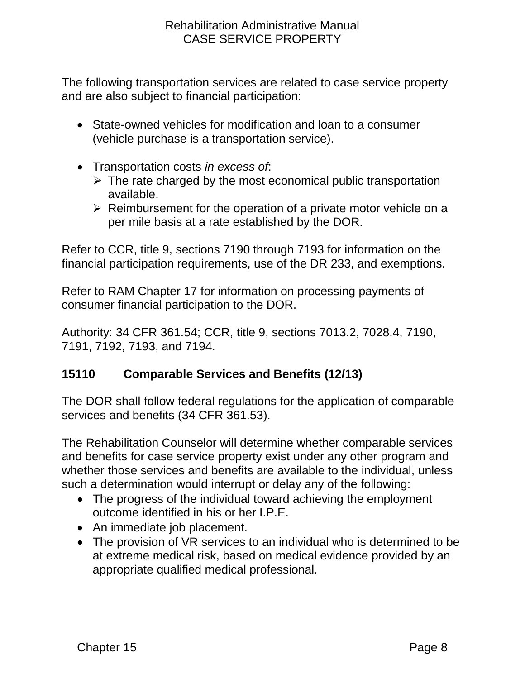The following transportation services are related to case service property and are also subject to financial participation:

- State-owned vehicles for modification and loan to a consumer (vehicle purchase is a transportation service).
- Transportation costs *in excess of*:
	- $\triangleright$  The rate charged by the most economical public transportation available.
	- $\triangleright$  Reimbursement for the operation of a private motor vehicle on a per mile basis at a rate established by the DOR.

Refer to CCR, title 9, sections 7190 through 7193 for information on the financial participation requirements, use of the DR 233, and exemptions.

Refer to RAM Chapter 17 for information on processing payments of consumer financial participation to the DOR.

Authority: 34 CFR 361.54; CCR, title 9, sections 7013.2, 7028.4, 7190, 7191, 7192, 7193, and 7194.

# <span id="page-10-0"></span>**15110 Comparable Services and Benefits (12/13)**

The DOR shall follow federal regulations for the application of comparable services and benefits (34 CFR 361.53).

The Rehabilitation Counselor will determine whether comparable services and benefits for case service property exist under any other program and whether those services and benefits are available to the individual, unless such a determination would interrupt or delay any of the following:

- The progress of the individual toward achieving the employment outcome identified in his or her I.P.E.
- An immediate job placement.
- The provision of VR services to an individual who is determined to be at extreme medical risk, based on medical evidence provided by an appropriate qualified medical professional.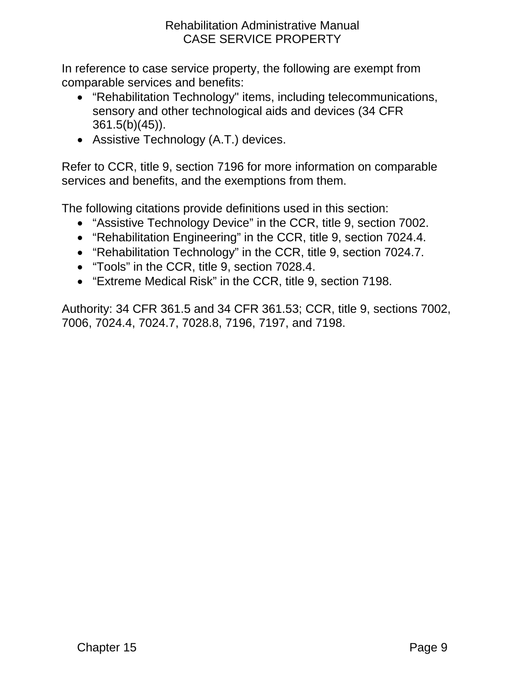In reference to case service property, the following are exempt from comparable services and benefits:

- "Rehabilitation Technology" items, including telecommunications, sensory and other technological aids and devices (34 CFR 361.5(b)(45)).
- Assistive Technology (A.T.) devices.

Refer to CCR, title 9, section 7196 for more information on comparable services and benefits, and the exemptions from them.

The following citations provide definitions used in this section:

- "Assistive Technology Device" in the CCR, title 9, section 7002.
- "Rehabilitation Engineering" in the CCR, title 9, section 7024.4.
- "Rehabilitation Technology" in the CCR, title 9, section 7024.7.
- "Tools" in the CCR, title 9, section 7028.4.
- "Extreme Medical Risk" in the CCR, title 9, section 7198.

Authority: 34 CFR 361.5 and 34 CFR 361.53; CCR, title 9, sections 7002, 7006, 7024.4, 7024.7, 7028.8, 7196, 7197, and 7198.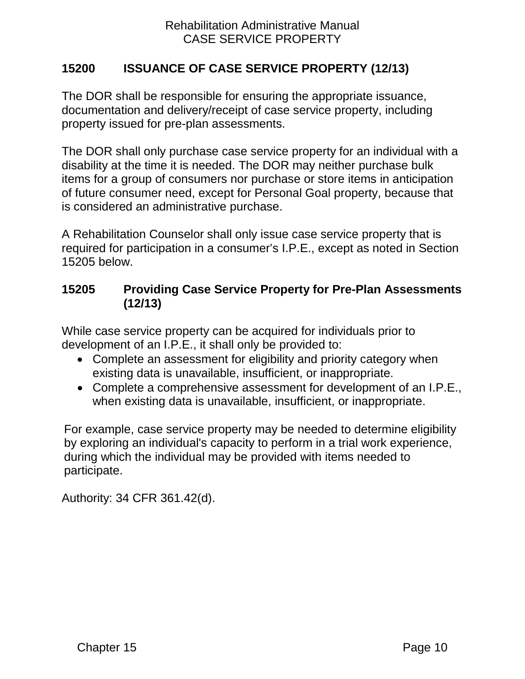## <span id="page-12-0"></span>**15200 ISSUANCE OF CASE SERVICE PROPERTY (12/13)**

The DOR shall be responsible for ensuring the appropriate issuance, documentation and delivery/receipt of case service property, including property issued for pre-plan assessments.

The DOR shall only purchase case service property for an individual with a disability at the time it is needed. The DOR may neither purchase bulk items for a group of consumers nor purchase or store items in anticipation of future consumer need, except for Personal Goal property, because that is considered an administrative purchase.

A Rehabilitation Counselor shall only issue case service property that is required for participation in a consumer's I.P.E., except as noted in Section 15205 below.

## <span id="page-12-1"></span>**15205 Providing Case Service Property for Pre-Plan Assessments (12/13)**

While case service property can be acquired for individuals prior to development of an I.P.E., it shall only be provided to:

- Complete an assessment for eligibility and priority category when existing data is unavailable, insufficient, or inappropriate.
- Complete a comprehensive assessment for development of an I.P.E., when existing data is unavailable, insufficient, or inappropriate.

For example, case service property may be needed to determine eligibility by exploring an individual's capacity to perform in a trial work experience, during which the individual may be provided with items needed to participate.

Authority: 34 CFR 361.42(d).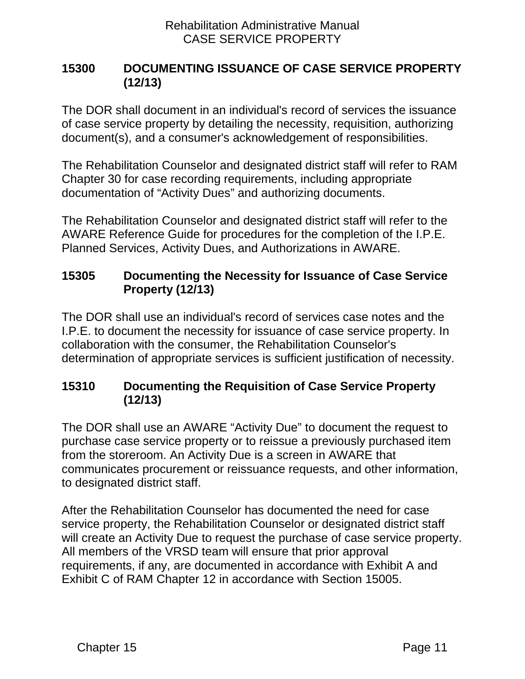# <span id="page-13-0"></span>**15300 DOCUMENTING ISSUANCE OF CASE SERVICE PROPERTY (12/13)**

The DOR shall document in an individual's record of services the issuance of case service property by detailing the necessity, requisition, authorizing document(s), and a consumer's acknowledgement of responsibilities.

The Rehabilitation Counselor and designated district staff will refer to RAM Chapter 30 for case recording requirements, including appropriate documentation of "Activity Dues" and authorizing documents.

The Rehabilitation Counselor and designated district staff will refer to the AWARE Reference Guide for procedures for the completion of the I.P.E. Planned Services, Activity Dues, and Authorizations in AWARE.

# <span id="page-13-1"></span>**15305 Documenting the Necessity for Issuance of Case Service Property (12/13)**

The DOR shall use an individual's record of services case notes and the I.P.E. to document the necessity for issuance of case service property. In collaboration with the consumer, the Rehabilitation Counselor's determination of appropriate services is sufficient justification of necessity.

# <span id="page-13-2"></span>**15310 Documenting the Requisition of Case Service Property (12/13)**

The DOR shall use an AWARE "Activity Due" to document the request to purchase case service property or to reissue a previously purchased item from the storeroom. An Activity Due is a screen in AWARE that communicates procurement or reissuance requests, and other information, to designated district staff.

After the Rehabilitation Counselor has documented the need for case service property, the Rehabilitation Counselor or designated district staff will create an Activity Due to request the purchase of case service property. All members of the VRSD team will ensure that prior approval requirements, if any, are documented in accordance with Exhibit A and Exhibit C of RAM Chapter 12 in accordance with Section 15005.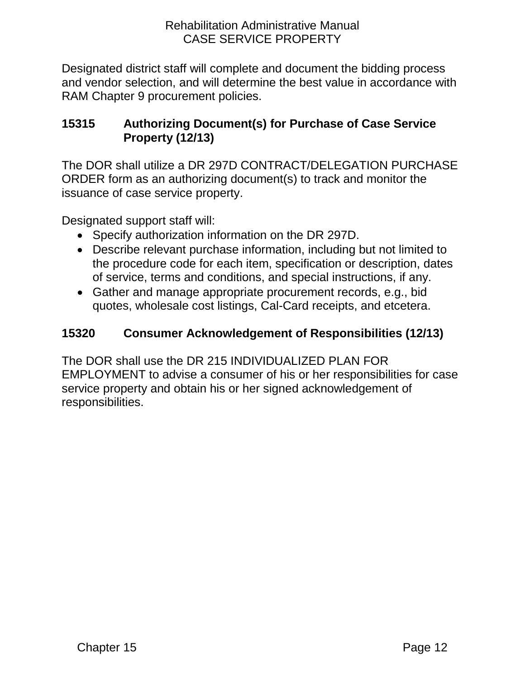Designated district staff will complete and document the bidding process and vendor selection, and will determine the best value in accordance with RAM Chapter 9 procurement policies.

# <span id="page-14-0"></span>**15315 Authorizing Document(s) for Purchase of Case Service Property (12/13)**

The DOR shall utilize a DR 297D CONTRACT/DELEGATION PURCHASE ORDER form as an authorizing document(s) to track and monitor the issuance of case service property.

Designated support staff will:

- Specify authorization information on the DR 297D.
- Describe relevant purchase information, including but not limited to the procedure code for each item, specification or description, dates of service, terms and conditions, and special instructions, if any.
- Gather and manage appropriate procurement records, e.g., bid quotes, wholesale cost listings, Cal-Card receipts, and etcetera.

# <span id="page-14-1"></span>**15320 Consumer Acknowledgement of Responsibilities (12/13)**

<span id="page-14-2"></span>The DOR shall use the DR 215 INDIVIDUALIZED PLAN FOR EMPLOYMENT to advise a consumer of his or her responsibilities for case service property and obtain his or her signed acknowledgement of responsibilities.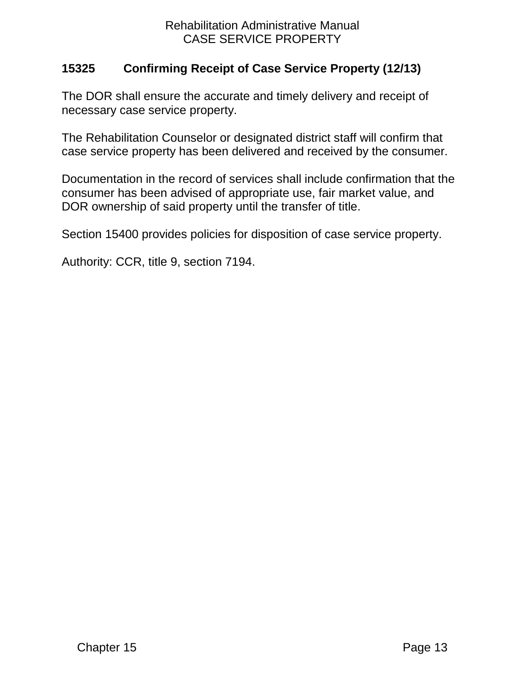## **15325 Confirming Receipt of Case Service Property (12/13)**

The DOR shall ensure the accurate and timely delivery and receipt of necessary case service property.

The Rehabilitation Counselor or designated district staff will confirm that case service property has been delivered and received by the consumer.

Documentation in the record of services shall include confirmation that the consumer has been advised of appropriate use, fair market value, and DOR ownership of said property until the transfer of title.

Section 15400 provides policies for disposition of case service property.

Authority: CCR, title 9, section 7194.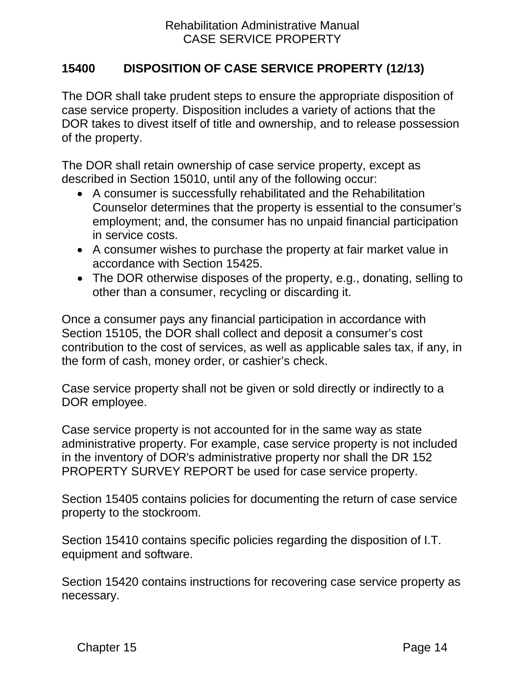# <span id="page-16-0"></span>**15400 DISPOSITION OF CASE SERVICE PROPERTY (12/13)**

The DOR shall take prudent steps to ensure the appropriate disposition of case service property. Disposition includes a variety of actions that the DOR takes to divest itself of title and ownership, and to release possession of the property.

The DOR shall retain ownership of case service property, except as described in Section 15010, until any of the following occur:

- A consumer is successfully rehabilitated and the Rehabilitation Counselor determines that the property is essential to the consumer's employment; and, the consumer has no unpaid financial participation in service costs.
- A consumer wishes to purchase the property at fair market value in accordance with Section 15425.
- The DOR otherwise disposes of the property, e.g., donating, selling to other than a consumer, recycling or discarding it.

Once a consumer pays any financial participation in accordance with Section 15105, the DOR shall collect and deposit a consumer's cost contribution to the cost of services, as well as applicable sales tax, if any, in the form of cash, money order, or cashier's check.

Case service property shall not be given or sold directly or indirectly to a DOR employee.

Case service property is not accounted for in the same way as state administrative property. For example, case service property is not included in the inventory of DOR's administrative property nor shall the DR 152 PROPERTY SURVEY REPORT be used for case service property.

Section 15405 contains policies for documenting the return of case service property to the stockroom.

Section 15410 contains specific policies regarding the disposition of I.T. equipment and software.

Section 15420 contains instructions for recovering case service property as necessary.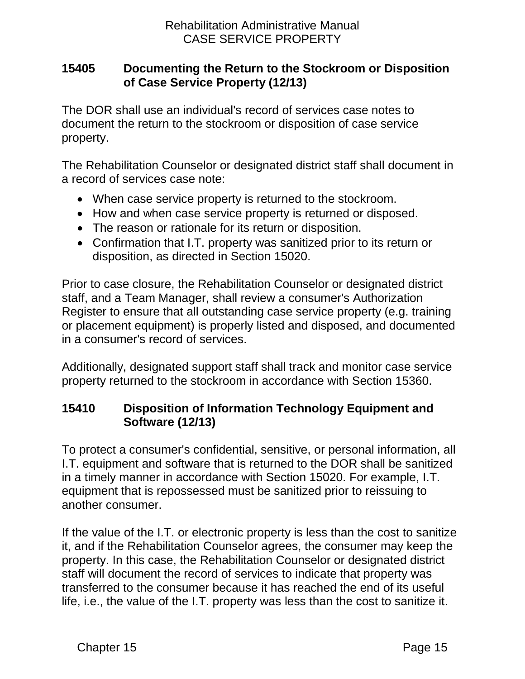## <span id="page-17-0"></span>**15405 Documenting the Return to the Stockroom or Disposition of Case Service Property (12/13)**

The DOR shall use an individual's record of services case notes to document the return to the stockroom or disposition of case service property.

The Rehabilitation Counselor or designated district staff shall document in a record of services case note:

- When case service property is returned to the stockroom.
- How and when case service property is returned or disposed.
- The reason or rationale for its return or disposition.
- Confirmation that I.T. property was sanitized prior to its return or disposition, as directed in Section 15020.

Prior to case closure, the Rehabilitation Counselor or designated district staff, and a Team Manager, shall review a consumer's Authorization Register to ensure that all outstanding case service property (e.g. training or placement equipment) is properly listed and disposed, and documented in a consumer's record of services.

Additionally, designated support staff shall track and monitor case service property returned to the stockroom in accordance with Section 15360.

# <span id="page-17-1"></span>**15410 Disposition of Information Technology Equipment and Software (12/13)**

To protect a consumer's confidential, sensitive, or personal information, all I.T. equipment and software that is returned to the DOR shall be sanitized in a timely manner in accordance with Section 15020. For example, I.T. equipment that is repossessed must be sanitized prior to reissuing to another consumer.

If the value of the I.T. or electronic property is less than the cost to sanitize it, and if the Rehabilitation Counselor agrees, the consumer may keep the property. In this case, the Rehabilitation Counselor or designated district staff will document the record of services to indicate that property was transferred to the consumer because it has reached the end of its useful life, i.e., the value of the I.T. property was less than the cost to sanitize it.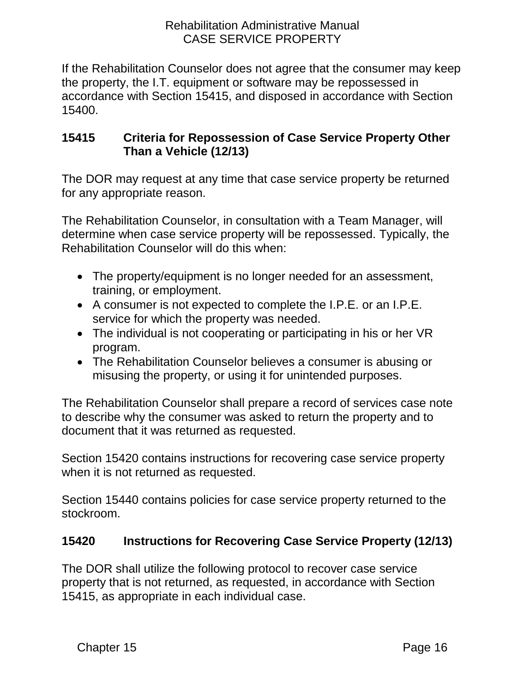If the Rehabilitation Counselor does not agree that the consumer may keep the property, the I.T. equipment or software may be repossessed in accordance with Section 15415, and disposed in accordance with Section 15400.

# <span id="page-18-0"></span>**15415 Criteria for Repossession of Case Service Property Other Than a Vehicle (12/13)**

The DOR may request at any time that case service property be returned for any appropriate reason.

The Rehabilitation Counselor, in consultation with a Team Manager, will determine when case service property will be repossessed. Typically, the Rehabilitation Counselor will do this when:

- The property/equipment is no longer needed for an assessment, training, or employment.
- A consumer is not expected to complete the I.P.E. or an I.P.E. service for which the property was needed.
- The individual is not cooperating or participating in his or her VR program.
- The Rehabilitation Counselor believes a consumer is abusing or misusing the property, or using it for unintended purposes.

The Rehabilitation Counselor shall prepare a record of services case note to describe why the consumer was asked to return the property and to document that it was returned as requested.

Section 15420 contains instructions for recovering case service property when it is not returned as requested.

Section 15440 contains policies for case service property returned to the stockroom.

# <span id="page-18-1"></span>**15420 Instructions for Recovering Case Service Property (12/13)**

The DOR shall utilize the following protocol to recover case service property that is not returned, as requested, in accordance with Section 15415, as appropriate in each individual case.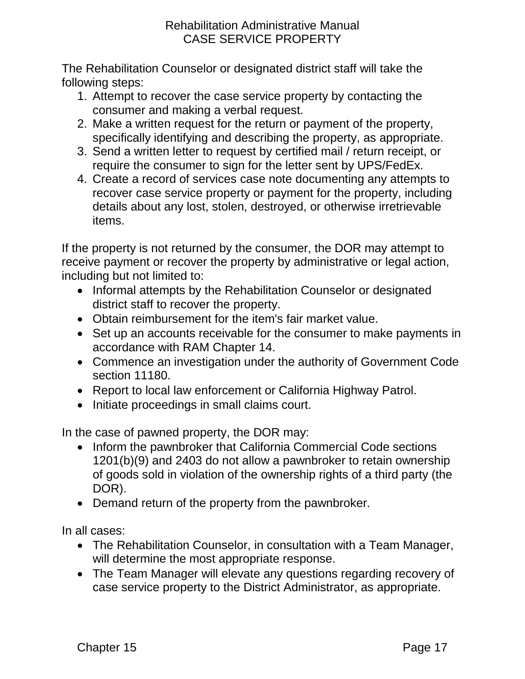The Rehabilitation Counselor or designated district staff will take the following steps:

- 1. Attempt to recover the case service property by contacting the consumer and making a verbal request.
- 2. Make a written request for the return or payment of the property, specifically identifying and describing the property, as appropriate.
- 3. Send a written letter to request by certified mail / return receipt, or require the consumer to sign for the letter sent by UPS/FedEx.
- 4. Create a record of services case note documenting any attempts to recover case service property or payment for the property, including details about any lost, stolen, destroyed, or otherwise irretrievable items.

If the property is not returned by the consumer, the DOR may attempt to receive payment or recover the property by administrative or legal action, including but not limited to:

- Informal attempts by the Rehabilitation Counselor or designated district staff to recover the property.
- Obtain reimbursement for the item's fair market value.
- Set up an accounts receivable for the consumer to make payments in accordance with RAM Chapter 14.
- Commence an investigation under the authority of Government Code section 11180.
- Report to local law enforcement or California Highway Patrol.
- Initiate proceedings in small claims court.

In the case of pawned property, the DOR may:

- Inform the pawnbroker that California Commercial Code sections 1201(b)(9) and 2403 do not allow a pawnbroker to retain ownership of goods sold in violation of the ownership rights of a third party (the DOR).
- Demand return of the property from the pawnbroker.

In all cases:

- The Rehabilitation Counselor, in consultation with a Team Manager, will determine the most appropriate response.
- The Team Manager will elevate any questions regarding recovery of case service property to the District Administrator, as appropriate.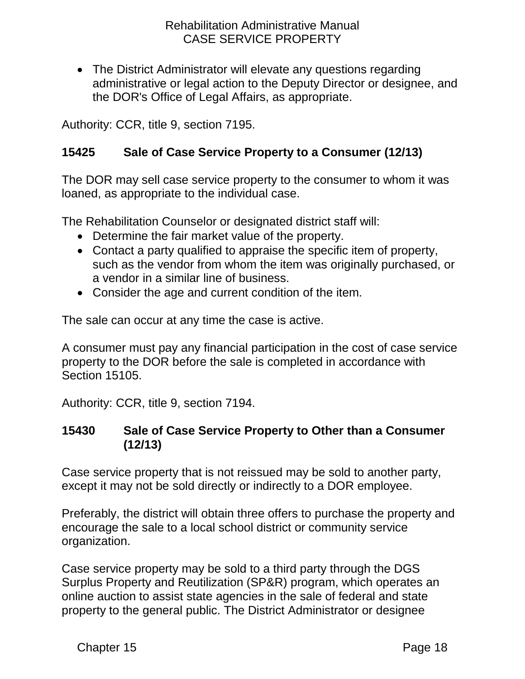• The District Administrator will elevate any questions regarding administrative or legal action to the Deputy Director or designee, and the DOR's Office of Legal Affairs, as appropriate.

Authority: CCR, title 9, section 7195.

# <span id="page-20-0"></span>**15425 Sale of Case Service Property to a Consumer (12/13)**

The DOR may sell case service property to the consumer to whom it was loaned, as appropriate to the individual case.

The Rehabilitation Counselor or designated district staff will:

- Determine the fair market value of the property.
- Contact a party qualified to appraise the specific item of property, such as the vendor from whom the item was originally purchased, or a vendor in a similar line of business.
- Consider the age and current condition of the item.

The sale can occur at any time the case is active.

A consumer must pay any financial participation in the cost of case service property to the DOR before the sale is completed in accordance with Section 15105.

Authority: CCR, title 9, section 7194.

### <span id="page-20-1"></span>**15430 Sale of Case Service Property to Other than a Consumer (12/13)**

Case service property that is not reissued may be sold to another party, except it may not be sold directly or indirectly to a DOR employee.

Preferably, the district will obtain three offers to purchase the property and encourage the sale to a local school district or community service organization.

Case service property may be sold to a third party through the DGS Surplus Property and Reutilization (SP&R) program, which operates an online auction to assist state agencies in the sale of federal and state property to the general public. The District Administrator or designee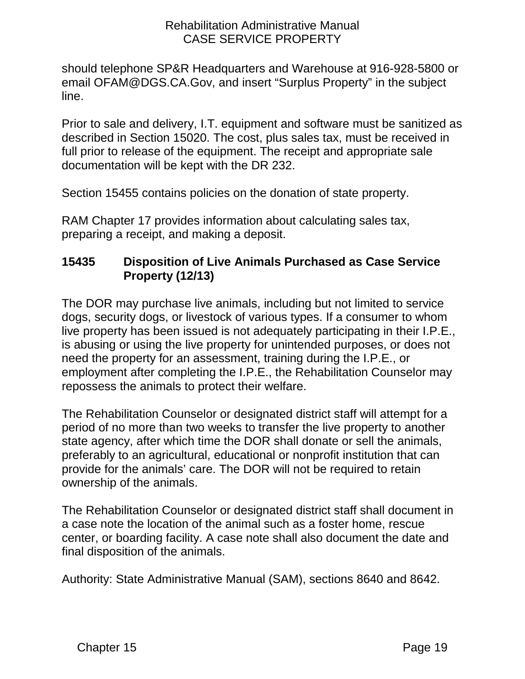should telephone SP&R Headquarters and Warehouse at 916-928-5800 or email OFAM@DGS.CA.Gov, and insert "Surplus Property" in the subject line.

Prior to sale and delivery, I.T. equipment and software must be sanitized as described in Section 15020. The cost, plus sales tax, must be received in full prior to release of the equipment. The receipt and appropriate sale documentation will be kept with the DR 232.

Section 15455 contains policies on the donation of state property.

RAM Chapter 17 provides information about calculating sales tax, preparing a receipt, and making a deposit.

# <span id="page-21-0"></span>**15435 Disposition of Live Animals Purchased as Case Service Property (12/13)**

The DOR may purchase live animals, including but not limited to service dogs, security dogs, or livestock of various types. If a consumer to whom live property has been issued is not adequately participating in their I.P.E., is abusing or using the live property for unintended purposes, or does not need the property for an assessment, training during the I.P.E., or employment after completing the I.P.E., the Rehabilitation Counselor may repossess the animals to protect their welfare.

The Rehabilitation Counselor or designated district staff will attempt for a period of no more than two weeks to transfer the live property to another state agency, after which time the DOR shall donate or sell the animals, preferably to an agricultural, educational or nonprofit institution that can provide for the animals' care. The DOR will not be required to retain ownership of the animals.

The Rehabilitation Counselor or designated district staff shall document in a case note the location of the animal such as a foster home, rescue center, or boarding facility. A case note shall also document the date and final disposition of the animals.

Authority: State Administrative Manual (SAM), sections 8640 and 8642.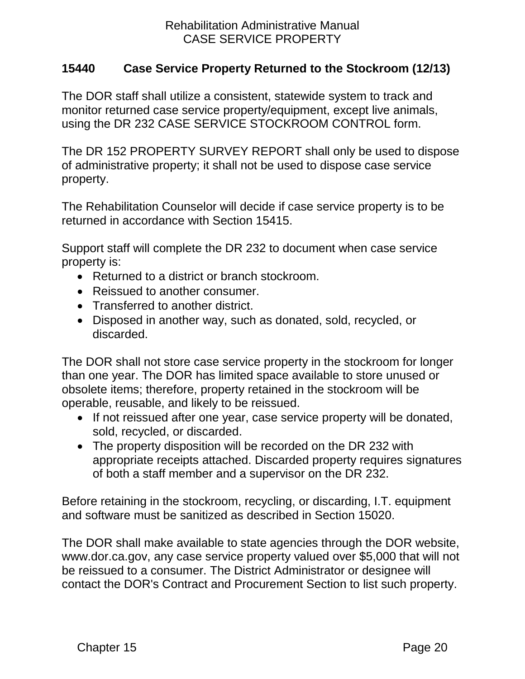## <span id="page-22-0"></span>**15440 Case Service Property Returned to the Stockroom (12/13)**

The DOR staff shall utilize a consistent, statewide system to track and monitor returned case service property/equipment, except live animals, using the DR 232 CASE SERVICE STOCKROOM CONTROL form.

The DR 152 PROPERTY SURVEY REPORT shall only be used to dispose of administrative property; it shall not be used to dispose case service property.

The Rehabilitation Counselor will decide if case service property is to be returned in accordance with Section 15415.

Support staff will complete the DR 232 to document when case service property is:

- Returned to a district or branch stockroom.
- Reissued to another consumer.
- Transferred to another district.
- Disposed in another way, such as donated, sold, recycled, or discarded.

The DOR shall not store case service property in the stockroom for longer than one year. The DOR has limited space available to store unused or obsolete items; therefore, property retained in the stockroom will be operable, reusable, and likely to be reissued.

- If not reissued after one year, case service property will be donated, sold, recycled, or discarded.
- The property disposition will be recorded on the DR 232 with appropriate receipts attached. Discarded property requires signatures of both a staff member and a supervisor on the DR 232.

Before retaining in the stockroom, recycling, or discarding, I.T. equipment and software must be sanitized as described in Section 15020.

The DOR shall make available to state agencies through the DOR website, www.dor.ca.gov, any case service property valued over \$5,000 that will not be reissued to a consumer. The District Administrator or designee will contact the DOR's Contract and Procurement Section to list such property.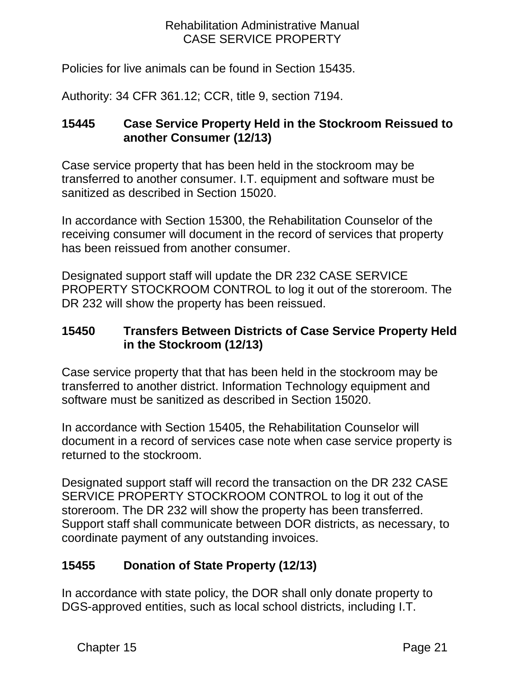Policies for live animals can be found in Section 15435.

Authority: 34 CFR 361.12; CCR, title 9, section 7194.

# <span id="page-23-0"></span>**15445 Case Service Property Held in the Stockroom Reissued to another Consumer (12/13)**

Case service property that has been held in the stockroom may be transferred to another consumer. I.T. equipment and software must be sanitized as described in Section 15020.

In accordance with Section 15300, the Rehabilitation Counselor of the receiving consumer will document in the record of services that property has been reissued from another consumer.

Designated support staff will update the DR 232 CASE SERVICE PROPERTY STOCKROOM CONTROL to log it out of the storeroom. The DR 232 will show the property has been reissued.

# <span id="page-23-1"></span>**15450 Transfers Between Districts of Case Service Property Held in the Stockroom (12/13)**

Case service property that that has been held in the stockroom may be transferred to another district. Information Technology equipment and software must be sanitized as described in Section 15020.

In accordance with Section 15405, the Rehabilitation Counselor will document in a record of services case note when case service property is returned to the stockroom.

Designated support staff will record the transaction on the DR 232 CASE SERVICE PROPERTY STOCKROOM CONTROL to log it out of the storeroom. The DR 232 will show the property has been transferred. Support staff shall communicate between DOR districts, as necessary, to coordinate payment of any outstanding invoices.

# <span id="page-23-2"></span>**15455 Donation of State Property (12/13)**

In accordance with state policy, the DOR shall only donate property to DGS-approved entities, such as local school districts, including I.T.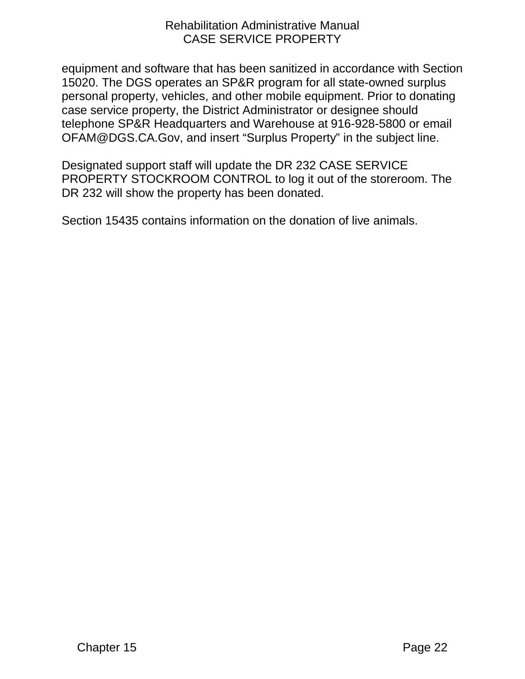equipment and software that has been sanitized in accordance with Section 15020. The DGS operates an SP&R program for all state-owned surplus personal property, vehicles, and other mobile equipment. Prior to donating case service property, the District Administrator or designee should telephone SP&R Headquarters and Warehouse at 916-928-5800 or email OFAM@DGS.CA.Gov, and insert "Surplus Property" in the subject line.

Designated support staff will update the DR 232 CASE SERVICE PROPERTY STOCKROOM CONTROL to log it out of the storeroom. The DR 232 will show the property has been donated.

Section 15435 contains information on the donation of live animals.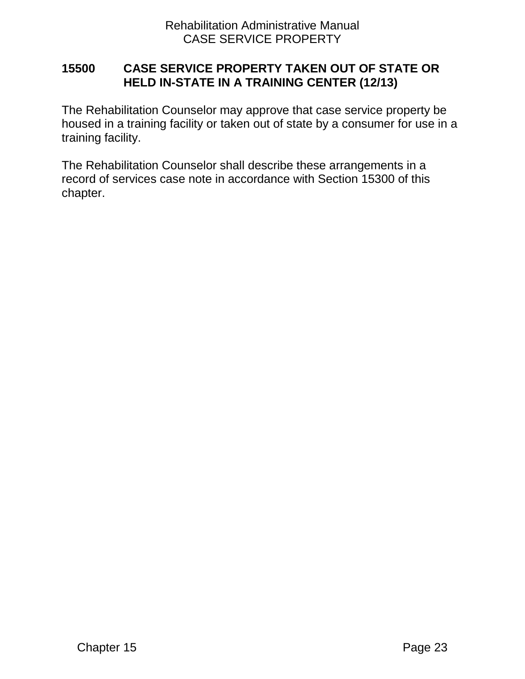## <span id="page-25-0"></span>**15500 CASE SERVICE PROPERTY TAKEN OUT OF STATE OR HELD IN-STATE IN A TRAINING CENTER (12/13)**

The Rehabilitation Counselor may approve that case service property be housed in a training facility or taken out of state by a consumer for use in a training facility.

The Rehabilitation Counselor shall describe these arrangements in a record of services case note in accordance with Section 15300 of this chapter.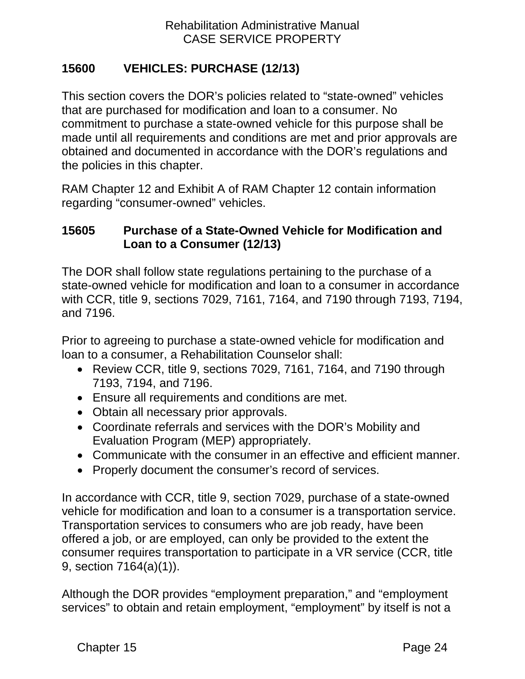# <span id="page-26-0"></span>**15600 VEHICLES: PURCHASE (12/13)**

This section covers the DOR's policies related to "state-owned" vehicles that are purchased for modification and loan to a consumer. No commitment to purchase a state-owned vehicle for this purpose shall be made until all requirements and conditions are met and prior approvals are obtained and documented in accordance with the DOR's regulations and the policies in this chapter.

RAM Chapter 12 and Exhibit A of RAM Chapter 12 contain information regarding "consumer-owned" vehicles.

## <span id="page-26-1"></span>**15605 Purchase of a State-Owned Vehicle for Modification and Loan to a Consumer (12/13)**

The DOR shall follow state regulations pertaining to the purchase of a state-owned vehicle for modification and loan to a consumer in accordance with CCR, title 9, sections 7029, 7161, 7164, and 7190 through 7193, 7194, and 7196.

Prior to agreeing to purchase a state-owned vehicle for modification and loan to a consumer, a Rehabilitation Counselor shall:

- Review CCR, title 9, sections 7029, 7161, 7164, and 7190 through 7193, 7194, and 7196.
- Ensure all requirements and conditions are met.
- Obtain all necessary prior approvals.
- Coordinate referrals and services with the DOR's Mobility and Evaluation Program (MEP) appropriately.
- Communicate with the consumer in an effective and efficient manner.
- Properly document the consumer's record of services.

In accordance with CCR, title 9, section 7029, purchase of a state-owned vehicle for modification and loan to a consumer is a transportation service. Transportation services to consumers who are job ready, have been offered a job, or are employed, can only be provided to the extent the consumer requires transportation to participate in a VR service (CCR, title 9, section 7164(a)(1)).

Although the DOR provides "employment preparation," and "employment services" to obtain and retain employment, "employment" by itself is not a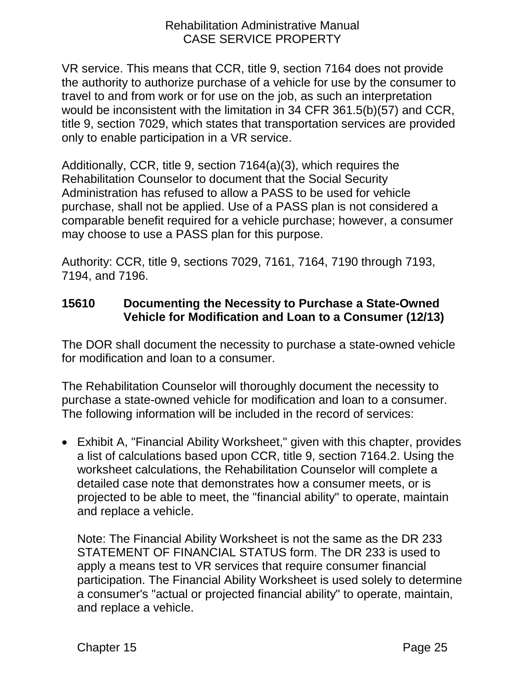VR service. This means that CCR, title 9, section 7164 does not provide the authority to authorize purchase of a vehicle for use by the consumer to travel to and from work or for use on the job, as such an interpretation would be inconsistent with the limitation in 34 CFR 361.5(b)(57) and CCR, title 9, section 7029, which states that transportation services are provided only to enable participation in a VR service.

Additionally, CCR, title 9, section 7164(a)(3), which requires the Rehabilitation Counselor to document that the Social Security Administration has refused to allow a PASS to be used for vehicle purchase, shall not be applied. Use of a PASS plan is not considered a comparable benefit required for a vehicle purchase; however, a consumer may choose to use a PASS plan for this purpose.

Authority: CCR, title 9, sections 7029, 7161, 7164, 7190 through 7193, 7194, and 7196.

# <span id="page-27-0"></span>**15610 Documenting the Necessity to Purchase a State-Owned Vehicle for Modification and Loan to a Consumer (12/13)**

The DOR shall document the necessity to purchase a state-owned vehicle for modification and loan to a consumer.

The Rehabilitation Counselor will thoroughly document the necessity to purchase a state-owned vehicle for modification and loan to a consumer. The following information will be included in the record of services:

• Exhibit A, "Financial Ability Worksheet," given with this chapter, provides a list of calculations based upon CCR, title 9, section 7164.2. Using the worksheet calculations, the Rehabilitation Counselor will complete a detailed case note that demonstrates how a consumer meets, or is projected to be able to meet, the "financial ability" to operate, maintain and replace a vehicle.

Note: The Financial Ability Worksheet is not the same as the DR 233 STATEMENT OF FINANCIAL STATUS form. The DR 233 is used to apply a means test to VR services that require consumer financial participation. The Financial Ability Worksheet is used solely to determine a consumer's "actual or projected financial ability" to operate, maintain, and replace a vehicle.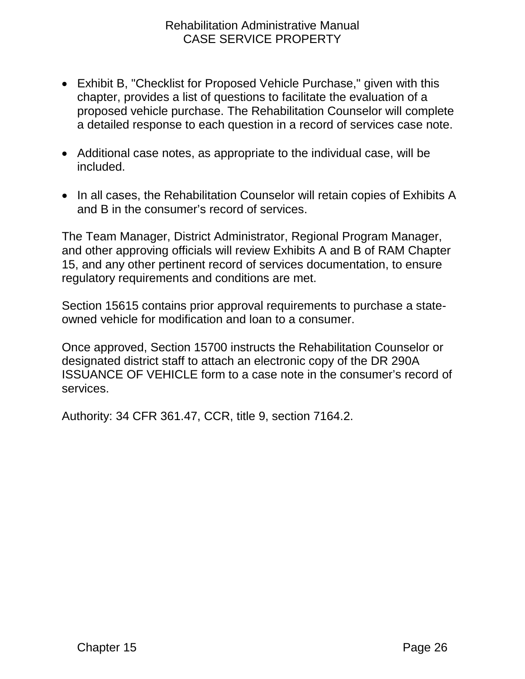- Exhibit B, "Checklist for Proposed Vehicle Purchase," given with this chapter, provides a list of questions to facilitate the evaluation of a proposed vehicle purchase. The Rehabilitation Counselor will complete a detailed response to each question in a record of services case note.
- Additional case notes, as appropriate to the individual case, will be included.
- In all cases, the Rehabilitation Counselor will retain copies of Exhibits A and B in the consumer's record of services.

The Team Manager, District Administrator, Regional Program Manager, and other approving officials will review Exhibits A and B of RAM Chapter 15, and any other pertinent record of services documentation, to ensure regulatory requirements and conditions are met.

Section 15615 contains prior approval requirements to purchase a stateowned vehicle for modification and loan to a consumer.

Once approved, Section 15700 instructs the Rehabilitation Counselor or designated district staff to attach an electronic copy of the DR 290A ISSUANCE OF VEHICLE form to a case note in the consumer's record of services.

Authority: 34 CFR 361.47, CCR, title 9, section 7164.2.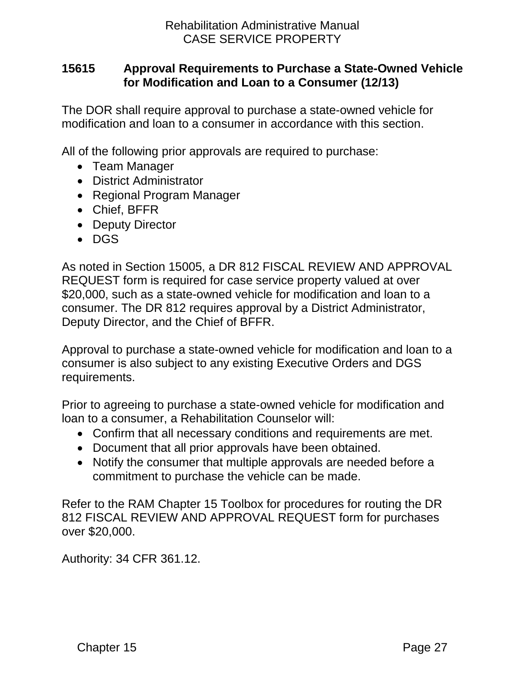## <span id="page-29-0"></span>**15615 Approval Requirements to Purchase a State-Owned Vehicle for Modification and Loan to a Consumer (12/13)**

The DOR shall require approval to purchase a state-owned vehicle for modification and loan to a consumer in accordance with this section.

All of the following prior approvals are required to purchase:

- Team Manager
- District Administrator
- Regional Program Manager
- Chief, BFFR
- Deputy Director
- DGS

As noted in Section 15005, a DR 812 FISCAL REVIEW AND APPROVAL REQUEST form is required for case service property valued at over \$20,000, such as a state-owned vehicle for modification and loan to a consumer. The DR 812 requires approval by a District Administrator, Deputy Director, and the Chief of BFFR.

Approval to purchase a state-owned vehicle for modification and loan to a consumer is also subject to any existing Executive Orders and DGS requirements.

Prior to agreeing to purchase a state-owned vehicle for modification and loan to a consumer, a Rehabilitation Counselor will:

- Confirm that all necessary conditions and requirements are met.
- Document that all prior approvals have been obtained.
- Notify the consumer that multiple approvals are needed before a commitment to purchase the vehicle can be made.

Refer to the RAM Chapter 15 Toolbox for procedures for routing the DR 812 FISCAL REVIEW AND APPROVAL REQUEST form for purchases over \$20,000.

Authority: 34 CFR 361.12.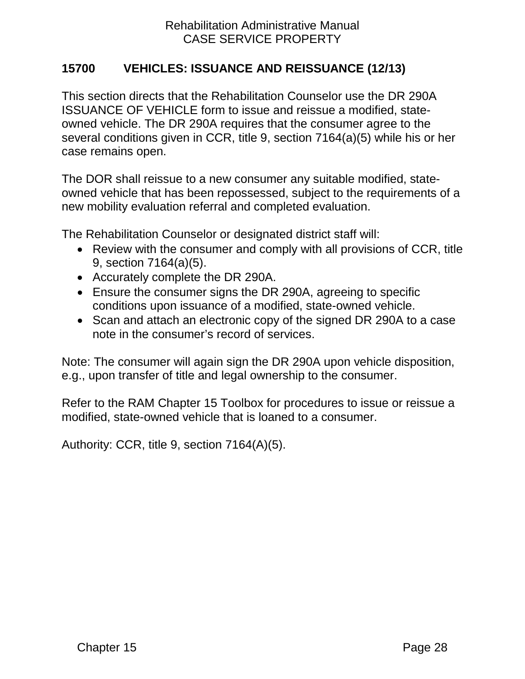## <span id="page-30-0"></span>**15700 VEHICLES: ISSUANCE AND REISSUANCE (12/13)**

This section directs that the Rehabilitation Counselor use the DR 290A ISSUANCE OF VEHICLE form to issue and reissue a modified, stateowned vehicle. The DR 290A requires that the consumer agree to the several conditions given in CCR, title 9, section 7164(a)(5) while his or her case remains open.

The DOR shall reissue to a new consumer any suitable modified, stateowned vehicle that has been repossessed, subject to the requirements of a new mobility evaluation referral and completed evaluation.

The Rehabilitation Counselor or designated district staff will:

- Review with the consumer and comply with all provisions of CCR, title 9, section 7164(a)(5).
- Accurately complete the DR 290A.
- Ensure the consumer signs the DR 290A, agreeing to specific conditions upon issuance of a modified, state-owned vehicle.
- Scan and attach an electronic copy of the signed DR 290A to a case note in the consumer's record of services.

Note: The consumer will again sign the DR 290A upon vehicle disposition, e.g., upon transfer of title and legal ownership to the consumer.

Refer to the RAM Chapter 15 Toolbox for procedures to issue or reissue a modified, state-owned vehicle that is loaned to a consumer.

Authority: CCR, title 9, section 7164(A)(5).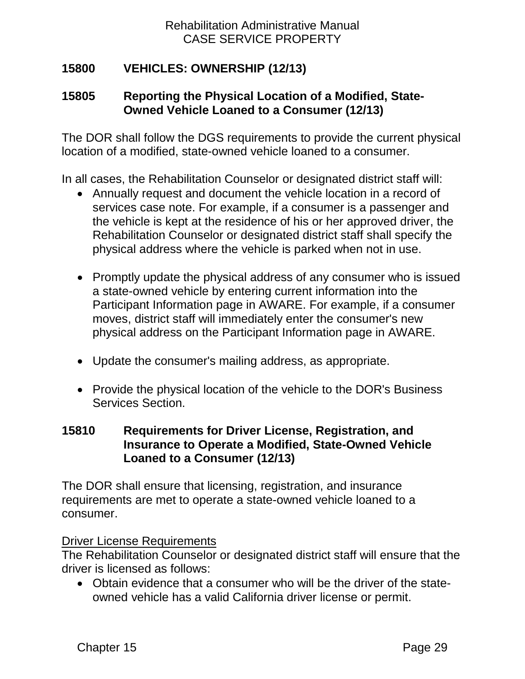# <span id="page-31-0"></span>**15800 VEHICLES: OWNERSHIP (12/13)**

## <span id="page-31-1"></span>**15805 Reporting the Physical Location of a Modified, State-Owned Vehicle Loaned to a Consumer (12/13)**

The DOR shall follow the DGS requirements to provide the current physical location of a modified, state-owned vehicle loaned to a consumer.

In all cases, the Rehabilitation Counselor or designated district staff will:

- Annually request and document the vehicle location in a record of services case note. For example, if a consumer is a passenger and the vehicle is kept at the residence of his or her approved driver, the Rehabilitation Counselor or designated district staff shall specify the physical address where the vehicle is parked when not in use.
- Promptly update the physical address of any consumer who is issued a state-owned vehicle by entering current information into the Participant Information page in AWARE. For example, if a consumer moves, district staff will immediately enter the consumer's new physical address on the Participant Information page in AWARE.
- Update the consumer's mailing address, as appropriate.
- Provide the physical location of the vehicle to the DOR's Business Services Section.

#### <span id="page-31-2"></span>**15810 Requirements for Driver License, Registration, and Insurance to Operate a Modified, State-Owned Vehicle Loaned to a Consumer (12/13)**

The DOR shall ensure that licensing, registration, and insurance requirements are met to operate a state-owned vehicle loaned to a consumer.

#### Driver License Requirements

The Rehabilitation Counselor or designated district staff will ensure that the driver is licensed as follows:

• Obtain evidence that a consumer who will be the driver of the stateowned vehicle has a valid California driver license or permit.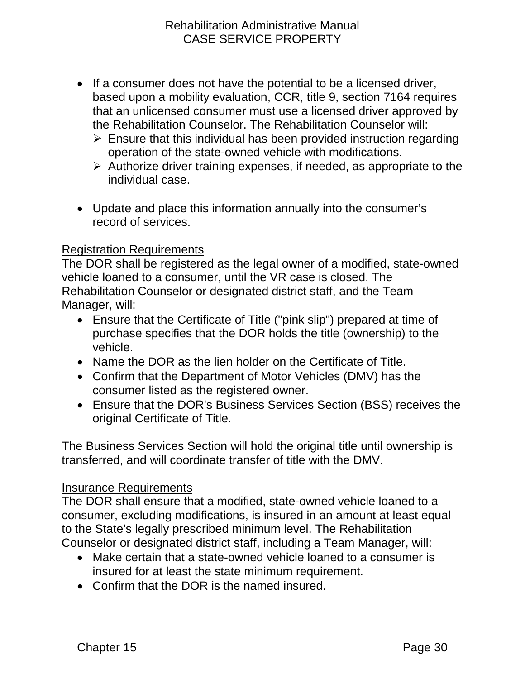- If a consumer does not have the potential to be a licensed driver, based upon a mobility evaluation, CCR, title 9, section 7164 requires that an unlicensed consumer must use a licensed driver approved by the Rehabilitation Counselor. The Rehabilitation Counselor will:
	- $\triangleright$  Ensure that this individual has been provided instruction regarding operation of the state-owned vehicle with modifications.
	- $\triangleright$  Authorize driver training expenses, if needed, as appropriate to the individual case.
- Update and place this information annually into the consumer's record of services.

### Registration Requirements

The DOR shall be registered as the legal owner of a modified, state-owned vehicle loaned to a consumer, until the VR case is closed. The Rehabilitation Counselor or designated district staff, and the Team Manager, will:

- Ensure that the Certificate of Title ("pink slip") prepared at time of purchase specifies that the DOR holds the title (ownership) to the vehicle.
- Name the DOR as the lien holder on the Certificate of Title.
- Confirm that the Department of Motor Vehicles (DMV) has the consumer listed as the registered owner.
- Ensure that the DOR's Business Services Section (BSS) receives the original Certificate of Title.

The Business Services Section will hold the original title until ownership is transferred, and will coordinate transfer of title with the DMV.

### Insurance Requirements

The DOR shall ensure that a modified, state-owned vehicle loaned to a consumer, excluding modifications, is insured in an amount at least equal to the State's legally prescribed minimum level. The Rehabilitation Counselor or designated district staff, including a Team Manager, will:

- Make certain that a state-owned vehicle loaned to a consumer is insured for at least the state minimum requirement.
- Confirm that the DOR is the named insured.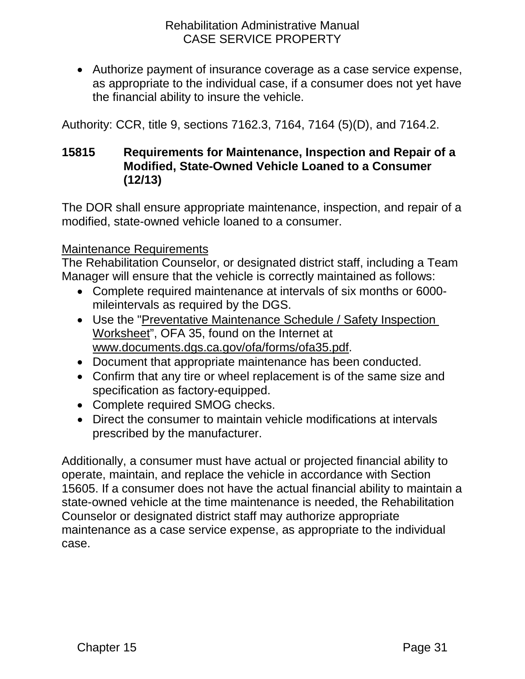• Authorize payment of insurance coverage as a case service expense, as appropriate to the individual case, if a consumer does not yet have the financial ability to insure the vehicle.

Authority: CCR, title 9, sections 7162.3, 7164, 7164 (5)(D), and 7164.2.

## <span id="page-33-0"></span>**15815 Requirements for Maintenance, Inspection and Repair of a Modified, State-Owned Vehicle Loaned to a Consumer (12/13)**

The DOR shall ensure appropriate maintenance, inspection, and repair of a modified, state-owned vehicle loaned to a consumer.

#### Maintenance Requirements

The Rehabilitation Counselor, or designated district staff, including a Team Manager will ensure that the vehicle is correctly maintained as follows:

- Complete required maintenance at intervals of six months or 6000 mileintervals as required by the DGS.
- Use the ["Preventative Maintenance Schedule](http://www.documents.dgs.ca.gov/ofa/forms/ofa35.pdf) / Safety Inspection [Worksheet"](http://www.documents.dgs.ca.gov/ofa/forms/ofa35.pdf), OFA 35, found on the Internet at [www.documents.dgs.ca.gov/ofa/forms/ofa35.pdf.](http://www.documents.dgs.ca.gov/ofa/forms/ofa35.pdf)
- Document that appropriate maintenance has been conducted.
- Confirm that any tire or wheel replacement is of the same size and specification as factory-equipped.
- Complete required SMOG checks.
- Direct the consumer to maintain vehicle modifications at intervals prescribed by the manufacturer.

Additionally, a consumer must have actual or projected financial ability to operate, maintain, and replace the vehicle in accordance with Section 15605. If a consumer does not have the actual financial ability to maintain a state-owned vehicle at the time maintenance is needed, the Rehabilitation Counselor or designated district staff may authorize appropriate maintenance as a case service expense, as appropriate to the individual case.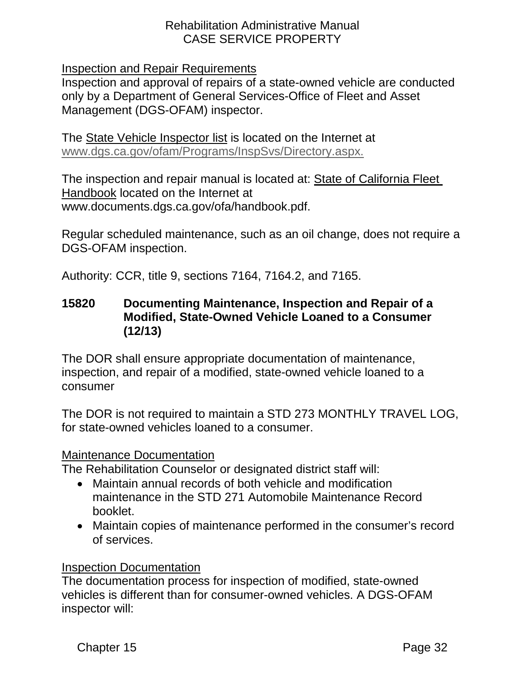Inspection and Repair Requirements

Inspection and approval of repairs of a state-owned vehicle are conducted only by a Department of General Services-Office of Fleet and Asset Management (DGS-OFAM) inspector.

The [State Vehicle Inspector list](http://www.dgs.ca.gov/ofam/Programs/InspSvs/Directory.aspx) is located on the Internet at [www.dgs.ca.gov/ofam/Programs/InspSvs/Directory.aspx.](http://www.dgs.ca.gov/ofam/Programs/InspSvs/Directory.aspx)

The inspection and repair manual is located at: [State of California Fleet](http://www.documents.dgs.ca.gov/ofa/handbook.pdf)  [Handbook](http://www.documents.dgs.ca.gov/ofa/handbook.pdf) located on the Internet at [www.documents.dgs.](http://www.documents.dgs/)ca.gov/ofa/handbook.pdf.

Regular scheduled maintenance, such as an oil change, does not require a DGS-OFAM inspection.

Authority: CCR, title 9, sections 7164, 7164.2, and 7165.

#### <span id="page-34-0"></span>**15820 Documenting Maintenance, Inspection and Repair of a Modified, State-Owned Vehicle Loaned to a Consumer (12/13)**

The DOR shall ensure appropriate documentation of maintenance, inspection, and repair of a modified, state-owned vehicle loaned to a consumer

The DOR is not required to maintain a STD 273 MONTHLY TRAVEL LOG, for state-owned vehicles loaned to a consumer.

### Maintenance Documentation

The Rehabilitation Counselor or designated district staff will:

- Maintain annual records of both vehicle and modification maintenance in the STD 271 Automobile Maintenance Record booklet.
- Maintain copies of maintenance performed in the consumer's record of services.

#### Inspection Documentation

The documentation process for inspection of modified, state-owned vehicles is different than for consumer-owned vehicles. A DGS-OFAM inspector will: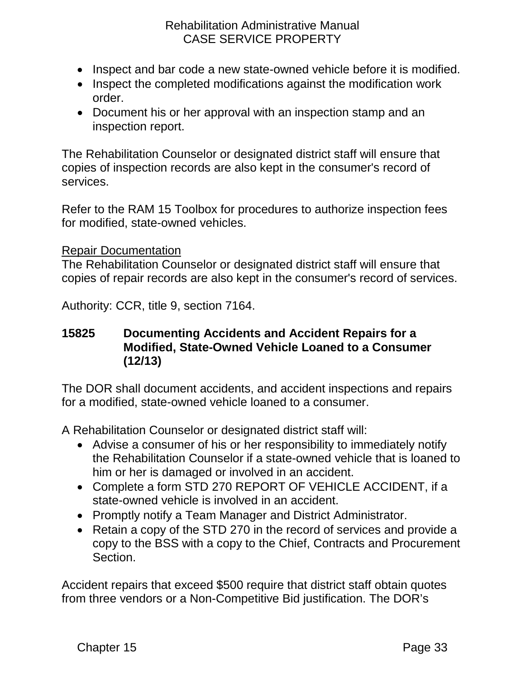- Inspect and bar code a new state-owned vehicle before it is modified.
- Inspect the completed modifications against the modification work order.
- Document his or her approval with an inspection stamp and an inspection report.

The Rehabilitation Counselor or designated district staff will ensure that copies of inspection records are also kept in the consumer's record of services.

Refer to the RAM 15 Toolbox for procedures to authorize inspection fees for modified, state-owned vehicles.

#### Repair Documentation

The Rehabilitation Counselor or designated district staff will ensure that copies of repair records are also kept in the consumer's record of services.

Authority: CCR, title 9, section 7164.

#### <span id="page-35-0"></span>**15825 Documenting Accidents and Accident Repairs for a Modified, State-Owned Vehicle Loaned to a Consumer (12/13)**

The DOR shall document accidents, and accident inspections and repairs for a modified, state-owned vehicle loaned to a consumer.

A Rehabilitation Counselor or designated district staff will:

- Advise a consumer of his or her responsibility to immediately notify the Rehabilitation Counselor if a state-owned vehicle that is loaned to him or her is damaged or involved in an accident.
- Complete a form STD 270 REPORT OF VEHICLE ACCIDENT, if a state-owned vehicle is involved in an accident.
- Promptly notify a Team Manager and District Administrator.
- Retain a copy of the STD 270 in the record of services and provide a copy to the BSS with a copy to the Chief, Contracts and Procurement Section.

Accident repairs that exceed \$500 require that district staff obtain quotes from three vendors or a Non-Competitive Bid justification. The DOR's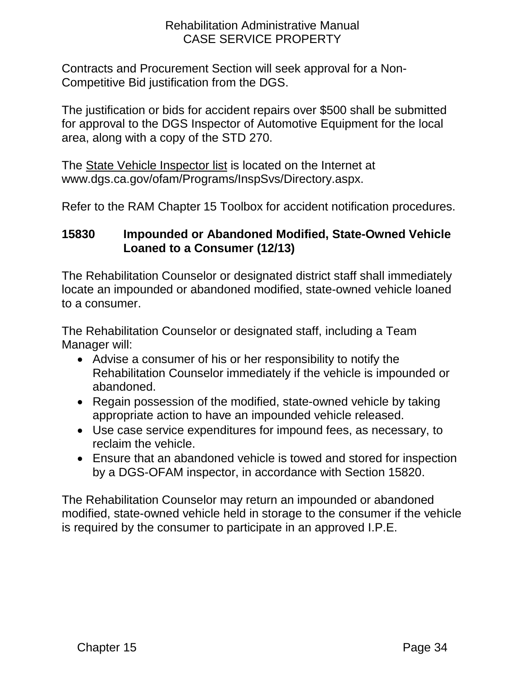Contracts and Procurement Section will seek approval for a Non-Competitive Bid justification from the DGS.

The justification or bids for accident repairs over \$500 shall be submitted for approval to the DGS Inspector of Automotive Equipment for the local area, along with a copy of the STD 270.

The [State Vehicle Inspector list](http://www.dgs.ca.gov/ofam/Programs/InspSvs/Directory.aspx) is located on the Internet at [www.dgs.ca.gov/ofam/Programs/InspSvs/D](http://www.dgs.ca.gov/ofam/Programs/InspSvs/)irectory.aspx.

Refer to the RAM Chapter 15 Toolbox for accident notification procedures.

# <span id="page-36-0"></span>**15830 Impounded or Abandoned Modified, State-Owned Vehicle Loaned to a Consumer (12/13)**

The Rehabilitation Counselor or designated district staff shall immediately locate an impounded or abandoned modified, state-owned vehicle loaned to a consumer.

The Rehabilitation Counselor or designated staff, including a Team Manager will:

- Advise a consumer of his or her responsibility to notify the Rehabilitation Counselor immediately if the vehicle is impounded or abandoned.
- Regain possession of the modified, state-owned vehicle by taking appropriate action to have an impounded vehicle released.
- Use case service expenditures for impound fees, as necessary, to reclaim the vehicle.
- Ensure that an abandoned vehicle is towed and stored for inspection by a DGS-OFAM inspector, in accordance with Section 15820.

The Rehabilitation Counselor may return an impounded or abandoned modified, state-owned vehicle held in storage to the consumer if the vehicle is required by the consumer to participate in an approved I.P.E.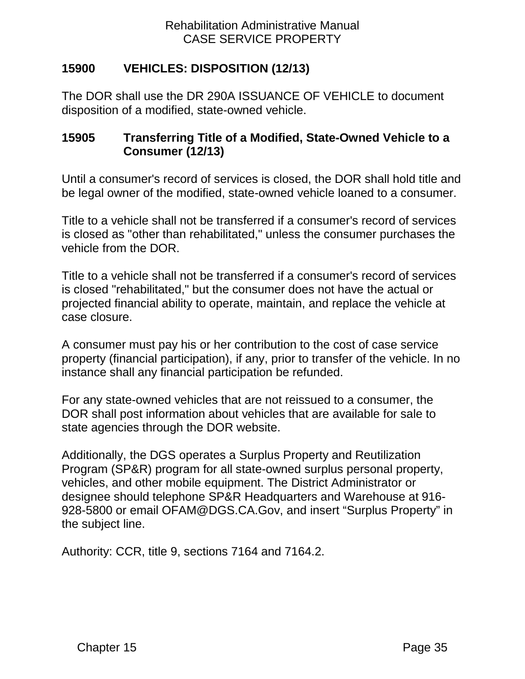# <span id="page-37-0"></span>**15900 VEHICLES: DISPOSITION (12/13)**

The DOR shall use the DR 290A ISSUANCE OF VEHICLE to document disposition of a modified, state-owned vehicle.

## <span id="page-37-1"></span>**15905 Transferring Title of a Modified, State-Owned Vehicle to a Consumer (12/13)**

Until a consumer's record of services is closed, the DOR shall hold title and be legal owner of the modified, state-owned vehicle loaned to a consumer.

Title to a vehicle shall not be transferred if a consumer's record of services is closed as "other than rehabilitated," unless the consumer purchases the vehicle from the DOR.

Title to a vehicle shall not be transferred if a consumer's record of services is closed "rehabilitated," but the consumer does not have the actual or projected financial ability to operate, maintain, and replace the vehicle at case closure.

A consumer must pay his or her contribution to the cost of case service property (financial participation), if any, prior to transfer of the vehicle. In no instance shall any financial participation be refunded.

For any state-owned vehicles that are not reissued to a consumer, the DOR shall post information about vehicles that are available for sale to state agencies through the DOR website.

Additionally, the DGS operates a Surplus Property and Reutilization Program (SP&R) program for all state-owned surplus personal property, vehicles, and other mobile equipment. The District Administrator or designee should telephone SP&R Headquarters and Warehouse at 916- 928-5800 or email OFAM@DGS.CA.Gov, and insert "Surplus Property" in the subject line.

Authority: CCR, title 9, sections 7164 and 7164.2.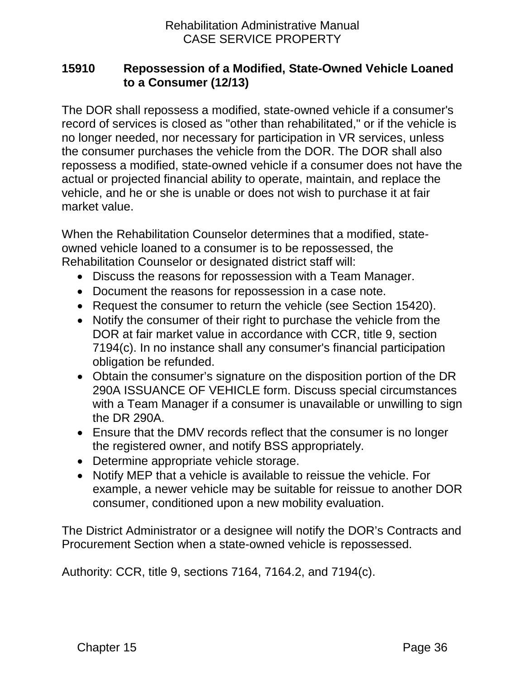## <span id="page-38-0"></span>**15910 Repossession of a Modified, State-Owned Vehicle Loaned to a Consumer (12/13)**

The DOR shall repossess a modified, state-owned vehicle if a consumer's record of services is closed as "other than rehabilitated," or if the vehicle is no longer needed, nor necessary for participation in VR services, unless the consumer purchases the vehicle from the DOR. The DOR shall also repossess a modified, state-owned vehicle if a consumer does not have the actual or projected financial ability to operate, maintain, and replace the vehicle, and he or she is unable or does not wish to purchase it at fair market value.

When the Rehabilitation Counselor determines that a modified, stateowned vehicle loaned to a consumer is to be repossessed, the Rehabilitation Counselor or designated district staff will:

- Discuss the reasons for repossession with a Team Manager.
- Document the reasons for repossession in a case note.
- Request the consumer to return the vehicle (see Section 15420).
- Notify the consumer of their right to purchase the vehicle from the DOR at fair market value in accordance with CCR, title 9, section 7194(c). In no instance shall any consumer's financial participation obligation be refunded.
- Obtain the consumer's signature on the disposition portion of the DR 290A ISSUANCE OF VEHICLE form. Discuss special circumstances with a Team Manager if a consumer is unavailable or unwilling to sign the DR 290A.
- Ensure that the DMV records reflect that the consumer is no longer the registered owner, and notify BSS appropriately.
- Determine appropriate vehicle storage.
- Notify MEP that a vehicle is available to reissue the vehicle. For example, a newer vehicle may be suitable for reissue to another DOR consumer, conditioned upon a new mobility evaluation.

The District Administrator or a designee will notify the DOR's Contracts and Procurement Section when a state-owned vehicle is repossessed.

Authority: CCR, title 9, sections 7164, 7164.2, and 7194(c).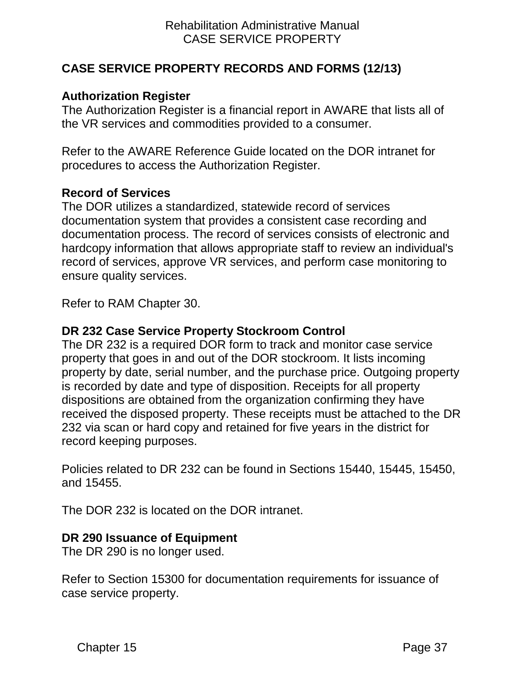## <span id="page-39-0"></span>**CASE SERVICE PROPERTY RECORDS AND FORMS (12/13)**

### <span id="page-39-1"></span>**Authorization Register**

The Authorization Register is a financial report in AWARE that lists all of the VR services and commodities provided to a consumer.

Refer to the AWARE Reference Guide located on the DOR intranet for procedures to access the Authorization Register.

#### <span id="page-39-2"></span>**Record of Services**

The DOR utilizes a standardized, statewide record of services documentation system that provides a consistent case recording and documentation process. The record of services consists of electronic and hardcopy information that allows appropriate staff to review an individual's record of services, approve VR services, and perform case monitoring to ensure quality services.

Refer to RAM Chapter 30.

### <span id="page-39-3"></span>**DR 232 Case Service Property Stockroom Control**

The DR 232 is a required DOR form to track and monitor case service property that goes in and out of the DOR stockroom. It lists incoming property by date, serial number, and the purchase price. Outgoing property is recorded by date and type of disposition. Receipts for all property dispositions are obtained from the organization confirming they have received the disposed property. These receipts must be attached to the DR 232 via scan or hard copy and retained for five years in the district for record keeping purposes.

Policies related to DR 232 can be found in Sections 15440, 15445, 15450, and 15455.

The DOR 232 is located on the DOR intranet.

#### <span id="page-39-4"></span>**DR 290 Issuance of Equipment**

The DR 290 is no longer used.

Refer to Section 15300 for documentation requirements for issuance of case service property.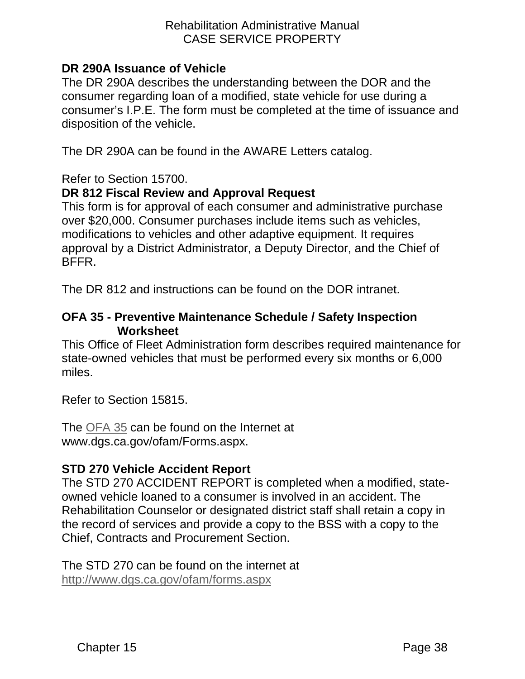### <span id="page-40-0"></span>**DR 290A Issuance of Vehicle**

The DR 290A describes the understanding between the DOR and the consumer regarding loan of a modified, state vehicle for use during a consumer's I.P.E. The form must be completed at the time of issuance and disposition of the vehicle.

The DR 290A can be found in the AWARE Letters catalog.

Refer to Section 15700.

## <span id="page-40-1"></span>**DR 812 Fiscal Review and Approval Request**

This form is for approval of each consumer and administrative purchase over \$20,000. Consumer purchases include items such as vehicles, modifications to vehicles and other adaptive equipment. It requires approval by a District Administrator, a Deputy Director, and the Chief of BFFR.

The DR 812 and instructions can be found on the DOR intranet.

#### <span id="page-40-2"></span>**OFA 35 - Preventive Maintenance Schedule / Safety Inspection Worksheet**

This Office of Fleet Administration form describes required maintenance for state-owned vehicles that must be performed every six months or 6,000 miles.

Refer to Section 15815.

The [OFA](http://www.dgs.ca.gov/ofam/Forms.aspx) 35 can be found on the Internet at www.dgs.ca.gov/ofam/Forms.aspx.

#### <span id="page-40-3"></span>**STD 270 Vehicle Accident Report**

The STD 270 ACCIDENT REPORT is completed when a modified, stateowned vehicle loaned to a consumer is involved in an accident. The Rehabilitation Counselor or designated district staff shall retain a copy in the record of services and provide a copy to the BSS with a copy to the Chief, Contracts and Procurement Section.

The STD 270 can be found on the internet at <http://www.dgs.ca.gov/ofam/forms.aspx>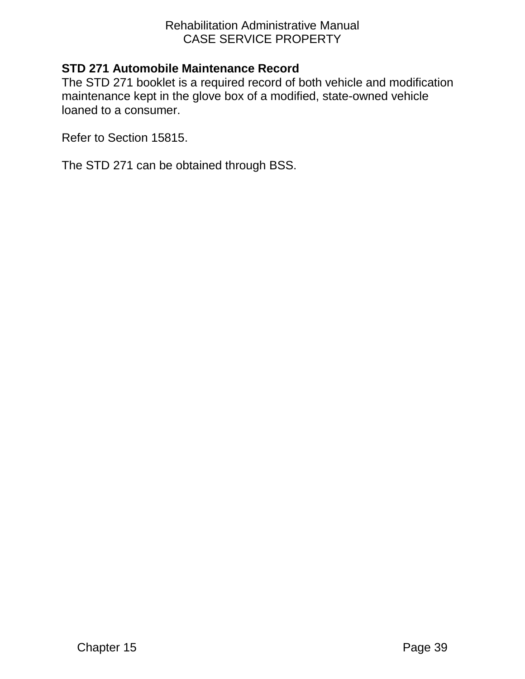# <span id="page-41-0"></span>**STD 271 Automobile Maintenance Record**

The STD 271 booklet is a required record of both vehicle and modification maintenance kept in the glove box of a modified, state-owned vehicle loaned to a consumer.

Refer to Section 15815.

The STD 271 can be obtained through BSS.